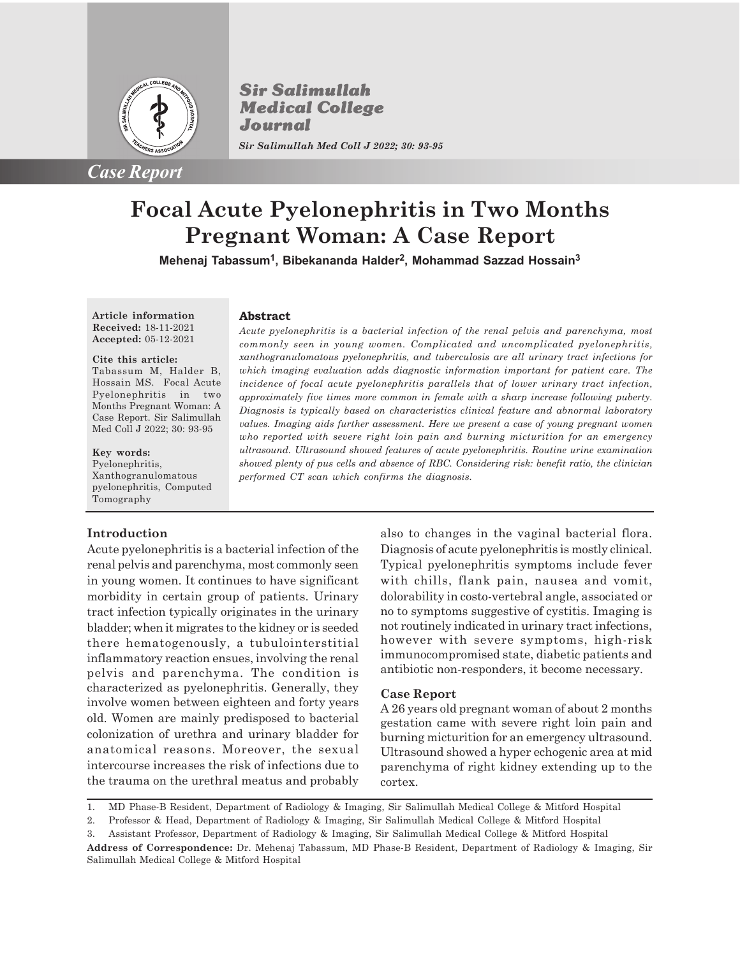

**Sir Salimullah Medical College** Journal *Sir Salimullah Med Coll J 2022; 30: 93-95*

**Abstract**

# **Focal Acute Pyelonephritis in Two Months Pregnant Woman: A Case Report**

**Mehenaj Tabassum<sup>1</sup> , Bibekananda Halder<sup>2</sup> , Mohammad Sazzad Hossain<sup>3</sup>**

**Article information Received:** 18-11-2021 **Accepted:** 05-12-2021

#### **Cite this article:**

Tabassum M, Halder B, Hossain MS. Focal Acute Pyelonephritis in two Months Pregnant Woman: A Case Report. Sir Salimullah Med Coll J 2022; 30: 93-95

**Key words:** Pyelonephritis, Xanthogranulomatous pyelonephritis, Computed Tomography

### **Introduction**

Acute pyelonephritis is a bacterial infection of the renal pelvis and parenchyma, most commonly seen in young women. It continues to have significant morbidity in certain group of patients. Urinary tract infection typically originates in the urinary bladder; when it migrates to the kidney or is seeded there hematogenously, a tubulointerstitial inflammatory reaction ensues, involving the renal pelvis and parenchyma. The condition is characterized as pyelonephritis. Generally, they involve women between eighteen and forty years old. Women are mainly predisposed to bacterial colonization of urethra and urinary bladder for anatomical reasons. Moreover, the sexual intercourse increases the risk of infections due to the trauma on the urethral meatus and probably

*Acute pyelonephritis is a bacterial infection of the renal pelvis and parenchyma, most commonly seen in young women. Complicated and uncomplicated pyelonephritis, xanthogranulomatous pyelonephritis, and tuberculosis are all urinary tract infections for which imaging evaluation adds diagnostic information important for patient care. The incidence of focal acute pyelonephritis parallels that of lower urinary tract infection, approximately five times more common in female with a sharp increase following puberty. Diagnosis is typically based on characteristics clinical feature and abnormal laboratory values. Imaging aids further assessment. Here we present a case of young pregnant women who reported with severe right loin pain and burning micturition for an emergency ultrasound. Ultrasound showed features of acute pyelonephritis. Routine urine examination showed plenty of pus cells and absence of RBC. Considering risk: benefit ratio, the clinician performed CT scan which confirms the diagnosis.*

> also to changes in the vaginal bacterial flora. Diagnosis of acute pyelonephritis is mostly clinical. Typical pyelonephritis symptoms include fever with chills, flank pain, nausea and vomit, dolorability in costo-vertebral angle, associated or no to symptoms suggestive of cystitis. Imaging is not routinely indicated in urinary tract infections, however with severe symptoms, high-risk immunocompromised state, diabetic patients and antibiotic non-responders, it become necessary.

## **Case Report**

A 26 years old pregnant woman of about 2 months gestation came with severe right loin pain and burning micturition for an emergency ultrasound. Ultrasound showed a hyper echogenic area at mid parenchyma of right kidney extending up to the cortex.

<sup>1.</sup> MD Phase-B Resident, Department of Radiology & Imaging, Sir Salimullah Medical College & Mitford Hospital

<sup>2.</sup> Professor & Head, Department of Radiology & Imaging, Sir Salimullah Medical College & Mitford Hospital

<sup>3.</sup> Assistant Professor, Department of Radiology & Imaging, Sir Salimullah Medical College & Mitford Hospital

**Address of Correspondence:** Dr. Mehenaj Tabassum, MD Phase-B Resident, Department of Radiology & Imaging, Sir Salimullah Medical College & Mitford Hospital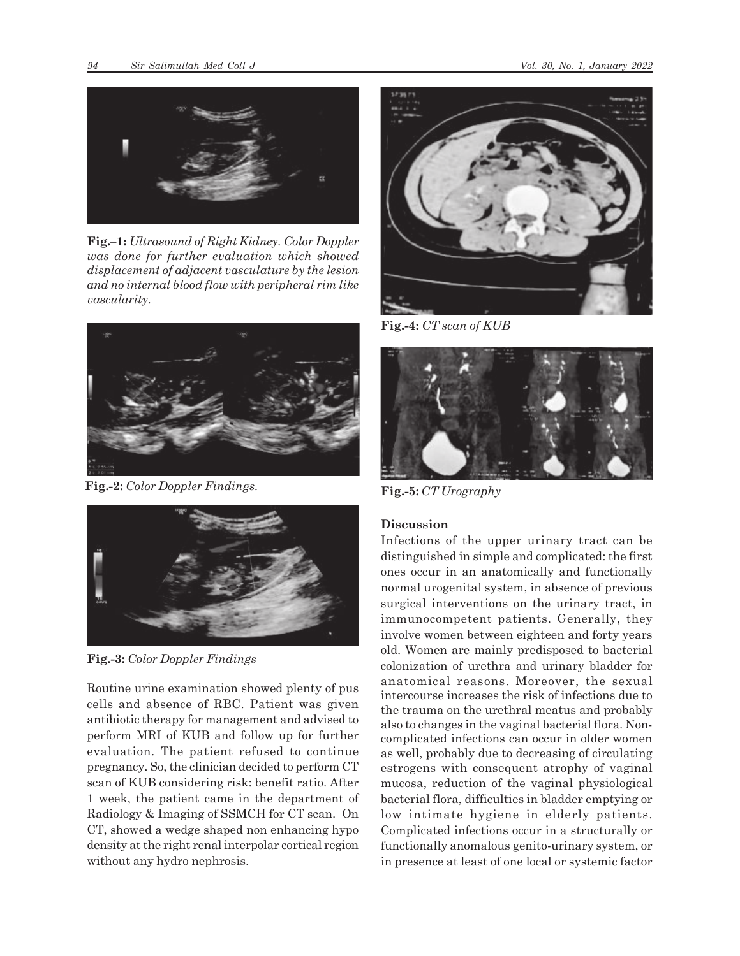

**Fig.–1:** *Ultrasound of Right Kidney. Color Doppler was done for further evaluation which showed displacement of adjacent vasculature by the lesion and no internal blood flow with peripheral rim like vascularity.*



**Fig.-2:** *Color Doppler Findings.*



**Fig.-3:** *Color Doppler Findings*

Routine urine examination showed plenty of pus cells and absence of RBC. Patient was given antibiotic therapy for management and advised to perform MRI of KUB and follow up for further evaluation. The patient refused to continue pregnancy. So, the clinician decided to perform CT scan of KUB considering risk: benefit ratio. After 1 week, the patient came in the department of Radiology & Imaging of SSMCH for CT scan. On CT, showed a wedge shaped non enhancing hypo density at the right renal interpolar cortical region without any hydro nephrosis.



**Fig.-4:** *CT scan of KUB*



**Fig.-5:** *CT Urography*

# **Discussion**

Infections of the upper urinary tract can be distinguished in simple and complicated: the first ones occur in an anatomically and functionally normal urogenital system, in absence of previous surgical interventions on the urinary tract, in immunocompetent patients. Generally, they involve women between eighteen and forty years old. Women are mainly predisposed to bacterial colonization of urethra and urinary bladder for anatomical reasons. Moreover, the sexual intercourse increases the risk of infections due to the trauma on the urethral meatus and probably also to changes in the vaginal bacterial flora. Noncomplicated infections can occur in older women as well, probably due to decreasing of circulating estrogens with consequent atrophy of vaginal mucosa, reduction of the vaginal physiological bacterial flora, difficulties in bladder emptying or low intimate hygiene in elderly patients. Complicated infections occur in a structurally or functionally anomalous genito-urinary system, or in presence at least of one local or systemic factor